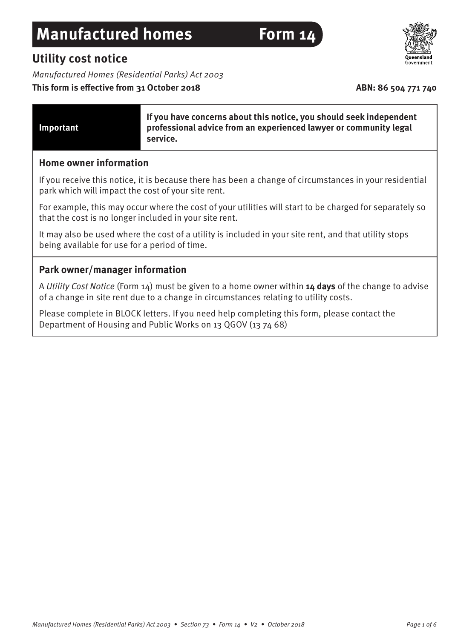# **Manufactured homes** Form 14

# **Utility cost notice**

Manufactured Homes (Residential Parks) Act 2003

# This form is effective from 31 October 2018 **ABN: 86 504 771 740**



| Important | If you have concerns about this notice, you should seek independent<br>professional advice from an experienced lawyer or community legal<br>service. |
|-----------|------------------------------------------------------------------------------------------------------------------------------------------------------|
|-----------|------------------------------------------------------------------------------------------------------------------------------------------------------|

### **Home owner information**

If you receive this notice, it is because there has been a change of circumstances in your residential park which will impact the cost of your site rent.

For example, this may occur where the cost of your utilities will start to be charged for separately so that the cost is no longer included in your site rent.

It may also be used where the cost of a utility is included in your site rent, and that utility stops being available for use for a period of time.

## **Park owner/manager information**

A Utility Cost Notice (Form 14) must be given to a home owner within **14 days** of the change to advise of a change in site rent due to a change in circumstances relating to utility costs.

Please complete in BLOCK letters. If you need help completing this form, please contact the Department of Housing and Public Works on 13 QGOV (13 74 68)

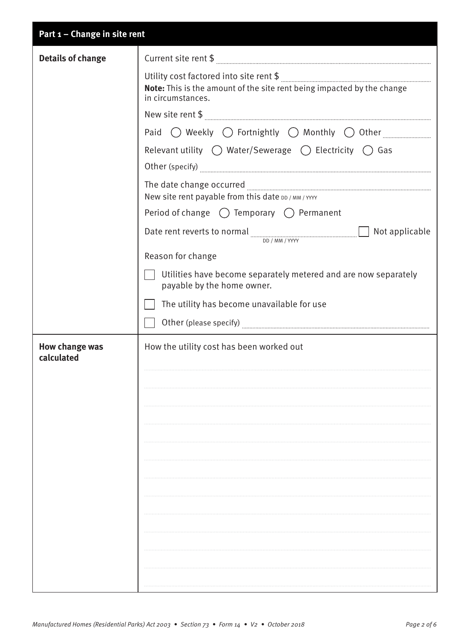| Part 1 - Change in site rent |                                                                                                                                                                                                                                                                                                                                                                                                                                                                                                                                                                                                                                                                                                                                                                                                                         |
|------------------------------|-------------------------------------------------------------------------------------------------------------------------------------------------------------------------------------------------------------------------------------------------------------------------------------------------------------------------------------------------------------------------------------------------------------------------------------------------------------------------------------------------------------------------------------------------------------------------------------------------------------------------------------------------------------------------------------------------------------------------------------------------------------------------------------------------------------------------|
| <b>Details of change</b>     |                                                                                                                                                                                                                                                                                                                                                                                                                                                                                                                                                                                                                                                                                                                                                                                                                         |
|                              | $\text{Utility cost factored into site rent $ } \texttt{\$} \text{ \underline{\qquad} \underline{\qquad} \underline{\qquad} \underline{\qquad} \underline{\qquad} \underline{\qquad} \underline{\qquad} \underline{\qquad} \underline{\qquad} \underline{\qquad} \underline{\qquad} \underline{\qquad} \underline{\qquad} \underline{\qquad} \underline{\qquad} \underline{\qquad} \underline{\qquad} \underline{\qquad} \underline{\qquad} \underline{\qquad} \underline{\qquad} \underline{\qquad} \underline{\qquad} \underline{\qquad} \underline{\qquad} \underline{\qquad} \underline{\qquad} \underline{\qquad} \underline{\qquad} \underline{\qquad} \underline{\qquad} \underline{\qquad} \underline{\qquad} \$<br>Note: This is the amount of the site rent being impacted by the change<br>in circumstances. |
|                              | Paid $\bigcirc$ Weekly $\bigcirc$ Fortnightly $\bigcirc$ Monthly $\bigcirc$ Other                                                                                                                                                                                                                                                                                                                                                                                                                                                                                                                                                                                                                                                                                                                                       |
|                              | Relevant utility $\bigcirc$ Water/Sewerage $\bigcirc$ Electricity $\bigcirc$ Gas                                                                                                                                                                                                                                                                                                                                                                                                                                                                                                                                                                                                                                                                                                                                        |
|                              | Other (specify) <b>with a construction of the constant of the constant of the constant of the constant of the constant of the constant of the constant of the constant of the constant of the constant of the constant of the co</b>                                                                                                                                                                                                                                                                                                                                                                                                                                                                                                                                                                                    |
|                              | New site rent payable from this date DD / MM / YYYY                                                                                                                                                                                                                                                                                                                                                                                                                                                                                                                                                                                                                                                                                                                                                                     |
|                              | Period of change $\bigcirc$ Temporary $\bigcirc$ Permanent                                                                                                                                                                                                                                                                                                                                                                                                                                                                                                                                                                                                                                                                                                                                                              |
|                              | Date rent reverts to normal $\Box$ Not applicable<br>DD / MM / YYYY                                                                                                                                                                                                                                                                                                                                                                                                                                                                                                                                                                                                                                                                                                                                                     |
|                              | Reason for change                                                                                                                                                                                                                                                                                                                                                                                                                                                                                                                                                                                                                                                                                                                                                                                                       |
|                              | Utilities have become separately metered and are now separately<br>payable by the home owner.                                                                                                                                                                                                                                                                                                                                                                                                                                                                                                                                                                                                                                                                                                                           |
|                              | The utility has become unavailable for use                                                                                                                                                                                                                                                                                                                                                                                                                                                                                                                                                                                                                                                                                                                                                                              |
|                              |                                                                                                                                                                                                                                                                                                                                                                                                                                                                                                                                                                                                                                                                                                                                                                                                                         |
| How change was<br>calculated | How the utility cost has been worked out                                                                                                                                                                                                                                                                                                                                                                                                                                                                                                                                                                                                                                                                                                                                                                                |
|                              |                                                                                                                                                                                                                                                                                                                                                                                                                                                                                                                                                                                                                                                                                                                                                                                                                         |
|                              |                                                                                                                                                                                                                                                                                                                                                                                                                                                                                                                                                                                                                                                                                                                                                                                                                         |
|                              |                                                                                                                                                                                                                                                                                                                                                                                                                                                                                                                                                                                                                                                                                                                                                                                                                         |
|                              |                                                                                                                                                                                                                                                                                                                                                                                                                                                                                                                                                                                                                                                                                                                                                                                                                         |
|                              |                                                                                                                                                                                                                                                                                                                                                                                                                                                                                                                                                                                                                                                                                                                                                                                                                         |
|                              |                                                                                                                                                                                                                                                                                                                                                                                                                                                                                                                                                                                                                                                                                                                                                                                                                         |
|                              |                                                                                                                                                                                                                                                                                                                                                                                                                                                                                                                                                                                                                                                                                                                                                                                                                         |
|                              |                                                                                                                                                                                                                                                                                                                                                                                                                                                                                                                                                                                                                                                                                                                                                                                                                         |
|                              |                                                                                                                                                                                                                                                                                                                                                                                                                                                                                                                                                                                                                                                                                                                                                                                                                         |
|                              |                                                                                                                                                                                                                                                                                                                                                                                                                                                                                                                                                                                                                                                                                                                                                                                                                         |
|                              |                                                                                                                                                                                                                                                                                                                                                                                                                                                                                                                                                                                                                                                                                                                                                                                                                         |
|                              |                                                                                                                                                                                                                                                                                                                                                                                                                                                                                                                                                                                                                                                                                                                                                                                                                         |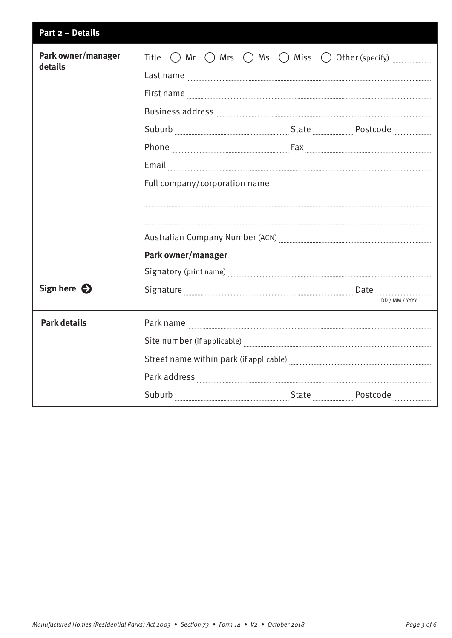| Part 2 - Details              |                                                                                                                                                                                                                                                                                                                                                                                                   |                |
|-------------------------------|---------------------------------------------------------------------------------------------------------------------------------------------------------------------------------------------------------------------------------------------------------------------------------------------------------------------------------------------------------------------------------------------------|----------------|
| Park owner/manager<br>details | Title $\bigcirc$ Mr $\bigcirc$ Mrs $\bigcirc$ Ms $\bigcirc$ Miss $\bigcirc$ Other (specify) $\frac{1}{\sqrt{2}}$                                                                                                                                                                                                                                                                                  |                |
|                               | Last name <b>with a contract of the contract of the contract of the contract of the contract of the contract of the contract of the contract of the contract of the contract of the contract of the contract of the contract of </b>                                                                                                                                                              |                |
|                               | First name <b>with a set of the contract of the contract of the contract of the contract of the contract of the contract of the contract of the contract of the contract of the contract of the contract of the contract of the </b>                                                                                                                                                              |                |
|                               | $\textbf{Business address} \textit{} \textit{} \textit{} \textit{} \textit{} \textit{} \textit{} \textit{} \textit{} \textit{} \textit{} \textit{} \textit{} \textit{} \textit{} \textit{} \textit{} \textit{} \textit{} \textit{} \textit{} \textit{} \textit{} \textit{} \textit{} \textit{} \textit{} \textit{} \textit{} \textit{} \textit{} \textit{} \textit{} \textit{} \textit{} \textit$ |                |
|                               |                                                                                                                                                                                                                                                                                                                                                                                                   |                |
|                               |                                                                                                                                                                                                                                                                                                                                                                                                   |                |
|                               |                                                                                                                                                                                                                                                                                                                                                                                                   |                |
|                               | Full company/corporation name                                                                                                                                                                                                                                                                                                                                                                     |                |
|                               |                                                                                                                                                                                                                                                                                                                                                                                                   |                |
|                               |                                                                                                                                                                                                                                                                                                                                                                                                   |                |
|                               |                                                                                                                                                                                                                                                                                                                                                                                                   |                |
|                               | Park owner/manager                                                                                                                                                                                                                                                                                                                                                                                |                |
|                               |                                                                                                                                                                                                                                                                                                                                                                                                   |                |
| Sign here $\bigcirc$          | Signature <b>Election Communication</b> Date <b>Election Communication</b> Date <b>Election Communication</b> Communication                                                                                                                                                                                                                                                                       |                |
|                               |                                                                                                                                                                                                                                                                                                                                                                                                   | DD / MM / YYYY |
| <b>Park details</b>           |                                                                                                                                                                                                                                                                                                                                                                                                   |                |
|                               |                                                                                                                                                                                                                                                                                                                                                                                                   |                |
|                               |                                                                                                                                                                                                                                                                                                                                                                                                   |                |
|                               |                                                                                                                                                                                                                                                                                                                                                                                                   |                |
|                               |                                                                                                                                                                                                                                                                                                                                                                                                   |                |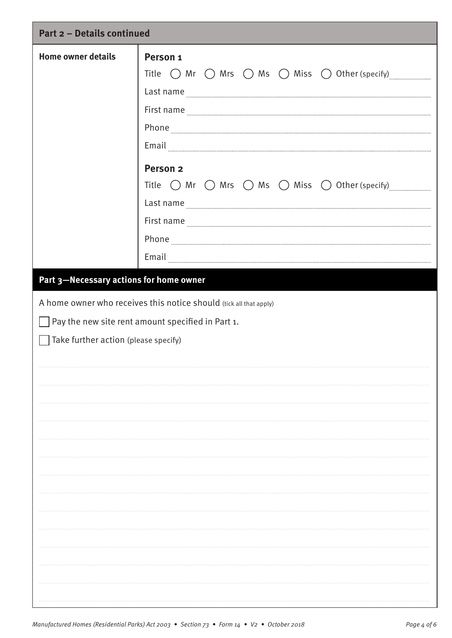| <b>Part 2 - Details continued</b>                                                                                                                                                                          |                                                                                                                                                                                                                                                                                                                                                                                                                                                                                                                                                                                                                                                                                                                                                                                                                                                                                                                                                                                                                                                                                                                                                                                                                                                                                                               |  |
|------------------------------------------------------------------------------------------------------------------------------------------------------------------------------------------------------------|---------------------------------------------------------------------------------------------------------------------------------------------------------------------------------------------------------------------------------------------------------------------------------------------------------------------------------------------------------------------------------------------------------------------------------------------------------------------------------------------------------------------------------------------------------------------------------------------------------------------------------------------------------------------------------------------------------------------------------------------------------------------------------------------------------------------------------------------------------------------------------------------------------------------------------------------------------------------------------------------------------------------------------------------------------------------------------------------------------------------------------------------------------------------------------------------------------------------------------------------------------------------------------------------------------------|--|
| <b>Home owner details</b>                                                                                                                                                                                  | Person <sub>1</sub><br>Title $\bigcirc$ Mr $\bigcirc$ Mrs $\bigcirc$ Ms $\bigcirc$ Miss $\bigcirc$ Other (specify)<br>Last name<br>First name <b>Example 20</b> in the contract of the contract of the contract of the contract of the contract of the contract of the contract of the contract of the contract of the contract of the contract of the contract of the<br>$Email_{\begin{tabular}{lll} \multicolumn{3}{l}{{\textbf{mail}}}\end{tabular}}\end{tabular} \begin{tabular}{l} \multicolumn{3}{l}{{\textbf{mail}}}\end{tabular} \begin{tabular}{l} \multicolumn{3}{l}{{\textbf{mail}}}\end{tabular} \begin{tabular}{l} \multicolumn{3}{l}{{\textbf{mild}}}\end{tabular} \begin{tabular}{l} \multicolumn{3}{l}{{\textbf{mild}}}\end{tabular} \begin{tabular}{l} \multicolumn{3}{l}{{\textbf{mild}}}\end{tabular} \begin{tabular}{l} \multicolumn{3}{l}{{\textbf{mild$<br>Person <sub>2</sub><br>Title $\bigcirc$ Mr $\bigcirc$ Mrs $\bigcirc$ Ms $\bigcirc$ Miss $\bigcirc$ Other (specify)<br>Last name <b>contract the contract of the contract of the contract of the contract of the contract of the contract of the contract of the contract of the contract of the contract of the contract of the contract of the contra</b><br>$\label{eq:1} \textbf{Phone}\textcolor{white}{aaaa}$<br>Email |  |
|                                                                                                                                                                                                            |                                                                                                                                                                                                                                                                                                                                                                                                                                                                                                                                                                                                                                                                                                                                                                                                                                                                                                                                                                                                                                                                                                                                                                                                                                                                                                               |  |
| Part 3-Necessary actions for home owner<br>A home owner who receives this notice should (tick all that apply)<br>Pay the new site rent amount specified in Part 1.<br>Take further action (please specify) |                                                                                                                                                                                                                                                                                                                                                                                                                                                                                                                                                                                                                                                                                                                                                                                                                                                                                                                                                                                                                                                                                                                                                                                                                                                                                                               |  |
|                                                                                                                                                                                                            |                                                                                                                                                                                                                                                                                                                                                                                                                                                                                                                                                                                                                                                                                                                                                                                                                                                                                                                                                                                                                                                                                                                                                                                                                                                                                                               |  |
|                                                                                                                                                                                                            |                                                                                                                                                                                                                                                                                                                                                                                                                                                                                                                                                                                                                                                                                                                                                                                                                                                                                                                                                                                                                                                                                                                                                                                                                                                                                                               |  |
|                                                                                                                                                                                                            |                                                                                                                                                                                                                                                                                                                                                                                                                                                                                                                                                                                                                                                                                                                                                                                                                                                                                                                                                                                                                                                                                                                                                                                                                                                                                                               |  |
|                                                                                                                                                                                                            |                                                                                                                                                                                                                                                                                                                                                                                                                                                                                                                                                                                                                                                                                                                                                                                                                                                                                                                                                                                                                                                                                                                                                                                                                                                                                                               |  |
|                                                                                                                                                                                                            |                                                                                                                                                                                                                                                                                                                                                                                                                                                                                                                                                                                                                                                                                                                                                                                                                                                                                                                                                                                                                                                                                                                                                                                                                                                                                                               |  |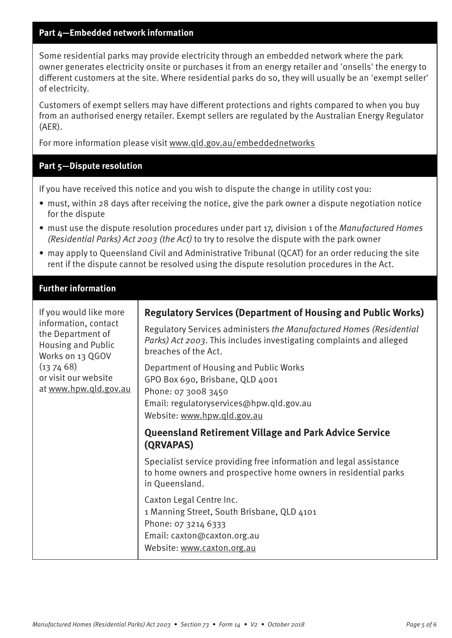#### **Part 4—Embedded network information**

Some residential parks may provide electricity through an embedded network where the park owner generates electricity onsite or purchases it from an energy retailer and 'onsells' the energy to different customers at the site. Where residential parks do so, they will usually be an 'exempt seller' of electricity.

Customers of exempt sellers may have different protections and rights compared to when you buy from an authorised energy retailer. Exempt sellers are regulated by the Australian Energy Regulator (AER).

For more information please visit [www.qld.gov.au/embeddednetworks](http://www.qld.gov.au/embeddednetworks)

#### **Part 5—Dispute resolution**

If you have received this notice and you wish to dispute the change in utility cost you:

- must, within 28 days after receiving the notice, give the park owner a dispute negotiation notice for the dispute
- must use the dispute resolution procedures under part 17, division 1 of the Manufactured Homes (Residential Parks) Act 2003 (the Act) to try to resolve the dispute with the park owner
- may apply to Queensland Civil and Administrative Tribunal (QCAT) for an order reducing the site rent if the dispute cannot be resolved using the dispute resolution procedures in the Act.

#### **Further information**

| If you would like more<br>information, contact<br>the Department of<br><b>Housing and Public</b><br>Works on 13 QGOV<br>(137468)<br>or visit our website<br>at www.hpw.qld.gov.au | <b>Regulatory Services (Department of Housing and Public Works)</b><br>Regulatory Services administers the Manufactured Homes (Residential<br>Parks) Act 2003. This includes investigating complaints and alleged<br>breaches of the Act.<br>Department of Housing and Public Works<br>GPO Box 690, Brisbane, QLD 4001<br>Phone: 07 3008 3450 |
|-----------------------------------------------------------------------------------------------------------------------------------------------------------------------------------|-----------------------------------------------------------------------------------------------------------------------------------------------------------------------------------------------------------------------------------------------------------------------------------------------------------------------------------------------|
|                                                                                                                                                                                   | Email: regulatoryservices@hpw.qld.gov.au<br>Website: www.hpw.gld.gov.au<br><b>Queensland Retirement Village and Park Advice Service</b>                                                                                                                                                                                                       |
|                                                                                                                                                                                   | (QRVAPAS)<br>Specialist service providing free information and legal assistance<br>to home owners and prospective home owners in residential parks<br>in Queensland.                                                                                                                                                                          |
|                                                                                                                                                                                   | Caxton Legal Centre Inc.<br>1 Manning Street, South Brisbane, QLD 4101<br>Phone: 07 3214 6333<br>Email: caxton@caxton.org.au<br>Website: www.caxton.org.au                                                                                                                                                                                    |